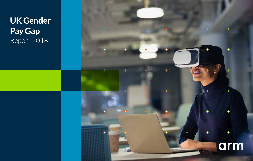## **UK Gender Pay Gap** Report 2018

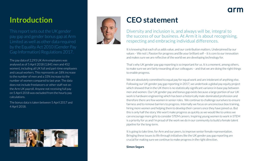### **Introduction**

This report sets out the UK gender pay gap and gender bonus gap at Arm Limited as well as other data required Gap Information) Regulations 2017.

The pay data of 2,293 UK Arm employees was analysed as of 5 April 2018 (1,841 men and 452 women), including all UK full and part-time employees and casual workers. This represents an 18% increase to the number of men and a 33% increase to the number of women compared to last year. The data does not include freelancers or other staff not on the Arm UK payroll. Anyone not receiving full pay on 5 April 2018 was excluded from the hourly pay calculations.

The bonus data is taken between 5 April 2017 and 4 April 2018.





### **CEO statement**

Diversity and inclusion is, and always will be, integral to the success of our business. At Arm it is about recognising, respecting and embracing individual differences.

It is knowing that each of us adds value, and our contribution matters. Underpinned by our values – We not I, Passion for progress and Be your brilliant self – it is core to our innovation and makes sure we are reflective of the world we are developing technology for.

That's why UK gender pay gap reporting is so important for us. It is a moment, among others, to make sure we are fairly rewarding all our colleagues – and that we are doing the right things to enable progress.

We are absolutely committed to equal pay for equal work and are intolerant of anything else. Following our UK gender pay gap reporting in 2017, we undertook a global pay equity project which showed that in the UK there is no statistically significant variance in base pay between men and women. Our UK gender pay and bonus gap exists because a large portion of our UK work is hardware engineering which has been a historically male-dominated profession and therefore there are few women in senior roles. We continue to challenge ourselves to ensure fairness and to remove barriers to progress. Internally we focus on unconscious bias training, hiring more women and helping them to develop their careers once they have joined us. But this is only half the story. We won't make progress as quickly as we would like to unless we can encourage more girls to consider STEM careers. Inspiring young women to work in STEM is a priority for us and I'm proud of the work we do in our community to build a female talent pipeline for the long-term.

It is going to take time, for Arm and our peers, to improve senior female representation. Bringing these issues to life through initiatives like the UK gender pay gap reporting are crucial for making sure we continue to make progress in the right direction.

**Simon Segars**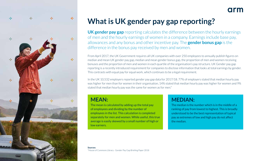

### **What is UK gender pay gap reporting?**

**UK gender pay gap** reporting calculates the difference between the hourly earnings of men and the hourly earnings of women in a company. Earnings include base pay, allowances and any bonus and other incentive pay. The **gender bonus gap** is the difference in the bonus pay received by men and women.

From April 2017, the UK Government requires all UK companies with over 250 employees to annually publish figures on median and mean UK gender pay gap, median and mean gender bonus gap, the proportion of men and women receiving bonuses and the proportion of men and women in each quartile of the organisation's pay structure. UK Gender pay gap reporting is a recently introduced requirement for companies to disclose information that looks at total earnings by gender. This contrasts with equal pay for equal work, which continues to be a legal requirement.

In the UK 10,532 employers reported gender pay gap data for 2017/18. 77% of employers stated that median hourly pay was higher for men than for women in their organisation, 14% stated that median hourly pay was higher for women and 9% stated that median hourly pay was the same for women as for men.\*

### **MEAN:**

The mean is calculated by adding up the total pay of employees and dividing by the number of employees in the list. This calculation is completed separately for men and women. While useful, this true average is easily skewed by a small number of high or low earners.

### **MEDIAN:**

The median is the number which is in the middle of a ranking of pay from lowest to highest. This is broadly understood to be the best representation of typical pay as extremes of low and high pay do not affect the median.

arn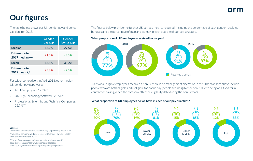### **Our figures**

The table below shows our UK gender pay and bonus gap data for 2018.

|                                      | <b>Gender</b><br>pay gap | <b>Gender</b><br>bonus gap |
|--------------------------------------|--------------------------|----------------------------|
| <b>Median</b>                        | 16.9%                    | 27.5%                      |
| Difference to<br>$2017$ median $+/-$ | $+1.5%$                  | $-3.3%$                    |
| Mean                                 | 16.8%                    | 31.2%                      |
| Difference to<br>2017 mean +/-       | $+5.8%$                  | $-9.3%$                    |

For wider comparison, in April 2018, other median UK gender pay gaps were:

- All UK employers: 17.9% \*
- UK High Technology Software: 20.6%\*\*
- Professional, Scientific and Technical Companies: 22.7%\*\*\*

**Sources:**

\*House of Commons Library - Gender Pay Gap Briefing Paper 2018 \*\*Source of comparative data: Mercer UK Gender Pay Gap –Sector Results And Responses 2018

\*\*\*https://www.ons.gov.uk/employmentandlabourmarket/ peopleinwork/earningsandworkinghours/datasets/ annualsurveyofhoursandearningsashegenderpaygaptables The figures below provide the further UK pay gap metrics required, including the percentage of each gender receiving bonuses and the percentage of men and women in each quartile of our pay structure.

**What proportion of UK employees received bonus pay?**



100% of all eligible employees received a bonus, there is no management discretion in this. The statistics above include people who are both eligible and ineligible for bonus pay (people are ineligible for bonus due to being on a fixed term contract or having joined the company after the eligibility date during the bonus year).

#### **What proportion of UK employees do we have in each of our pay quartiles?**

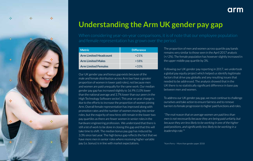

### **Understanding the Arm UK gender pay gap**

| <b>Metric</b>                | <b>Difference</b> |
|------------------------------|-------------------|
| <b>Arm Limited Headcount</b> | $+21%$            |
| <b>Arm Limited Males</b>     | $+18%$            |
| <b>Arm Limited Females</b>   | $+33\%$           |

Our UK gender pay and bonus gap exists because of the male and female distribution across Arm (we have a greater proportion of women in lower paid roles), not because men and women are paid unequally for the same work. Our median gender pay gap has increased slightly to 16.9% (1.0% lower than the national average and 3.7% lower than our peers in the High Technology Software sector). This year on year change is due to the efforts to increase the proportion of women joining Arm. Overall female representation has improved along with promotion rates and the number of women moving into senior roles, but the majority of new hires still remain in the lower two pay quartiles as there are fewer women in senior roles in the hardware engineering profession. We understand that there is still a lot of work to be done in closing this gap and that this will take time to shift. The median bonus pay gap has reduced by 3.3% since last year. The high bonus gap reflects the fact that we have more men in senior roles where receiving higher variable pay (i.e. bonus) is in line with market expectations.

The proportion of men and women across quartile pay bands remains very similar to those seen in the April 2017 analysis (+/-2%). The female population has however slightly increased in the upper middle pay quartile by 3%.

arm

Following our UK gender pay reporting in 2017, we undertook a global pay equity project which helped us identify legitimate factors that drive pay globally and any resulting issues that needed to be addressed. The analysis showed that in the UK there is no statistically significant difference in base pay between men and women.

To address our UK gender pay gap, we must continue to challenge ourselves and take action to ensure fairness and to remove barriers to female progression to higher paid functions and roles.

"The real reason that on average women are paid less than men is not necessarily because they are being paid unfairly, but because they are less likely to be working in one of the higher paid positions, and significantly less likely to be working in a leadership role."\*

\*Korn Ferry – More than gender paper 2018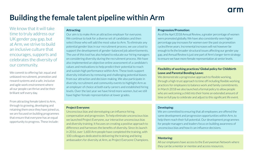### **Building the female talent pipeline within Arm**

We know that it will take time to truly address our UK gender pay gap, but at Arm, we strive to build an inclusive culture that encourages, supports and celebrates the diversity of our community.

We commit to offering fair, equal and unbiased recruitment, promotion and reward systems and a safe, inclusive and agile work environment where all our people can thrive and be their brilliant self every day.

From attracting female talent to Arm, through to growing, developing and retaining them once they have joined us, we are focused on building programmes that ensure that everyone has an equal opportunity to progress. These include:

#### **Attracting:**

Our aim is to make Arm an attractive employer for everyone. We continue to look for a diverse set of candidates and then select those who will add the most value to Arm. To eliminate any potential gender bias in our recruitment process, we use a tool to support the development of gender-balanced job advertisements. The use of this tool has also helped to educate our hiring managers on considering diversity during the recruitment process. We have also implemented an objective online assessment of a candidate's values and motivations to help predict their potential to reach and sustain high performance within Arm. These tools support diversity initiatives by removing and challenging potential biases from our attraction and decision-making. We also participate in diversity recruitment and community events to highlight Arm as an employer of choice at both early careers and established hiring levels. Over the last year we have hired more women, but we still have higher female representation at lower grades.

#### **Project Everyone:**

Unconscious bias and stereotyping can influence hiring, compensation and progression. To help eliminate unconscious bias we launched Project Everyone, our interactive unconscious bias and diversity training. It focuses on creating a positive approach to difference and harnesses the benefits of diversity. Since its launch in 2016, over 1,600 Arm people have completed the training, with 100 colleagues dedicated to delivering the training and being ambassadors for diversity at Arm, as Project Everyone Champions.

#### **Progression/Promotion:**

As of the April 2018 Annual Review, a greater percentage of women were promoted globally. We have also consistently seen higher percentage pay increases for women over the past six promotion cycles/three years. Incremental increases will not however be enough to fix the broader structural issues affecting our gender pay gap, and Annual Review is just one part of Arm's longer-term strategy to ensure we have more female representation at senior levels.

#### **Flexibility of working practices/ Global policy for Childbirth Leave and Parental Bonding Leave:**

We demonstrate a progressive approach to flexible working, through a high-trust approach to time off including flexible working practices for employees to balance work and family commitments. In March 2018 we also launched a formal policy to allow people who are welcoming a child into their home an extended amount of time on full pay to celebrate and adjust to this significant life event.

#### **Developing:**

We are committed to ensuring that all employees are offered the same development and progression opportunities within Arm, to help them reach their full potential. Our development programmes for people managers and leaders focus on building awareness of unconscious bias and how it can influence decisions.

#### **Mentoring:**

All our employees have access to the Everywoman Network where they can be a mentor or mentee and access resources.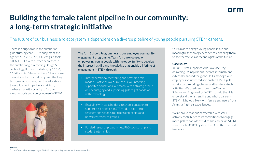## **Building the female talent pipeline in our community: a long-term strategic initiative**

The future of our business and ecosystem is dependent on a diverse pipeline of young people pursuing STEM careers.

There is a huge drop in the number of girls studying core STEM subjects at the age of 16. In 2017, 66,000 less girls took STEM GCSEs with further decreases in the number of girls entering Design & Technology, ICT and Statistics, by 11.1%, 16.6% and 43.6% respectively.\* To increase diversity within our industry over the long term, we must strengthen the educationto-employment pipeline and at Arm, we have made it a priority to focus on elevating girls and young women in STEM.



The Arm Schools Programme and our employee community engagement programme, Team Arm, are focused on empowering young people with the opportunity to develop the interest in, skills and knowledge that enable a lifetime of engagement in STEM through:

- Intergenerational mentoring and providing role models - last year, over 60% of our volunteering supported educational outreach, with a strategic focus on encouraging and supporting girls to get hands-on with technology
- Engaging with stakeholders in school education to support best practice in STEM education – from teachers and schools to EdTech companies and university research groups
- Funded research programmes, PhD sponsorship and student internships

Our aim is to engage young people in fun and meaningful technology experiences, enabling them to see themselves as technologists of the future.

#### **Case study:**

In 2018, Arm supported Ada Lovelace Day, delivering 22 inspirational events, internally and externally, around the globe. In Cambridge, our employees volunteered and enabled 150+ girls to take part in coding-classes and hands-on-tech activities. We used resources from Women In Science and Engineering (WISE), to help the girls understand their strengths and what a career in STEM might look like – with female engineers from Arm sharing their experiences.

We're proud that our partnership with WISE actively contributes to its commitment to engage more girls to consider studies and careers in STEM – and reach 200,000 girls in the UK within the next five years.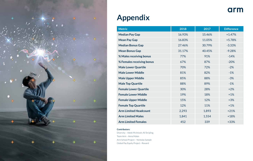

### **Appendix**

| <b>Metric</b>                | 2018   | 2017   | <b>Difference</b> |
|------------------------------|--------|--------|-------------------|
| <b>Median Pay Gap</b>        | 16.93% | 15.46% | $+1.47%$          |
| <b>Mean Pay Gap</b>          | 16.83% | 11.05% | $+5.78%$          |
| <b>Median Bonus Gap</b>      | 27.46% | 30.79% | $-3.33%$          |
| <b>Mean Bonus Gap</b>        | 31.17% | 40.45% | $-9.28%$          |
| % Males receiving bonus      | 77%    | 91%    | $-14%$            |
| % Females receiving bonus    | 67%    | 87%    | $-20%$            |
| <b>Male Lower Quartile</b>   | 70%    | 72%    | $-2%$             |
| <b>Male Lower Middle</b>     | 81%    | 82%    | $-1%$             |
| <b>Male Upper Middle</b>     | 85%    | 88%    | $-3%$             |
| <b>Male Top Quartile</b>     | 88%    | 89%    | $-1%$             |
| <b>Female Lower Quartile</b> | 30%    | 28%    | $+2%$             |
| <b>Female Lower Middle</b>   | 19%    | 18%    | $+1%$             |
| <b>Female Upper Middle</b>   | 15%    | 12%    | $+3%$             |
| <b>Female Top Quartile</b>   | 12%    | 11%    | $+1%$             |
| <b>Arm Limited Headcount</b> | 2,293  | 1,893  | $+21%$            |
| <b>Arm Limited Males</b>     | 1,841  | 1,554  | $+18%$            |
| <b>Arm Limited Females</b>   | 452    | 339    | $+33%$            |

arm

#### **Contributors:**

Diversity – Adele McIntosh; Ali Stripling Team Arm – Anna Malan Arm School Project – Nicholas Sample Global Pay Equity Project - Reward